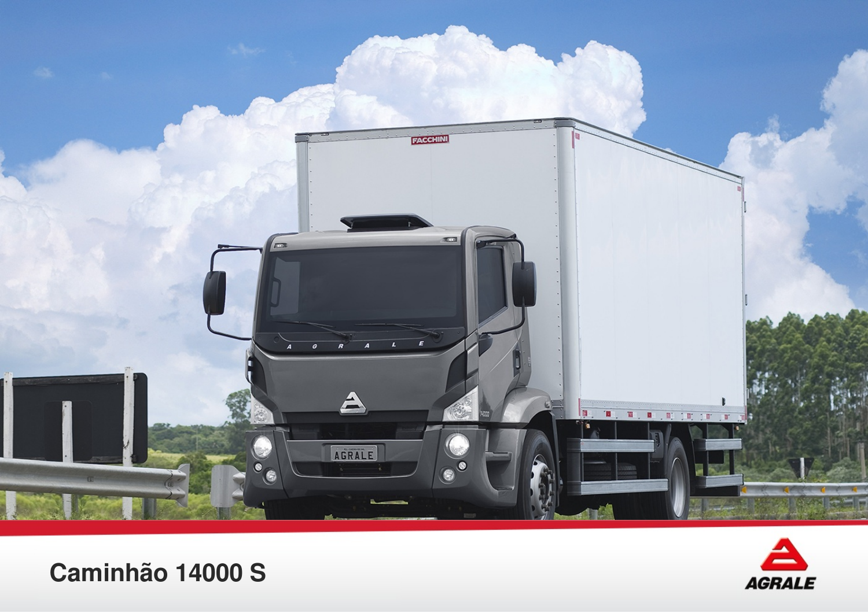



## Caminhão 14000 S